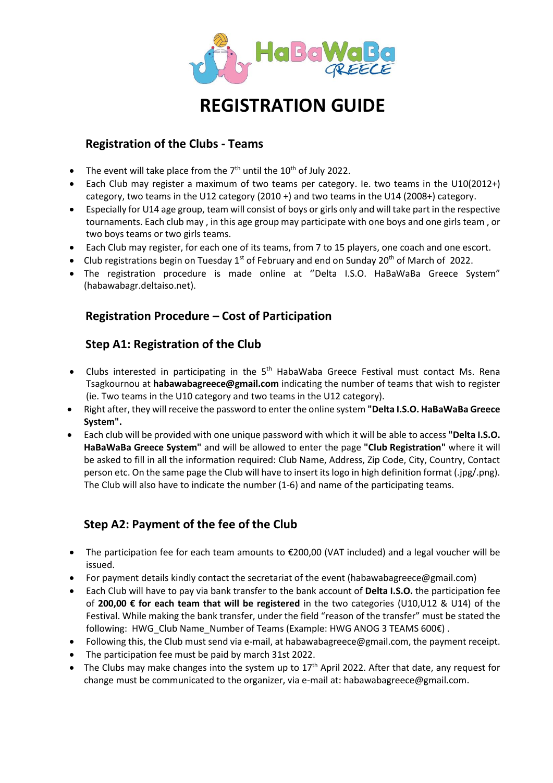

# **REGISTRATION GUIDE**

#### **Registration of the Clubs - Teams**

- The event will take place from the  $7<sup>th</sup>$  until the 10<sup>th</sup> of July 2022.
- Each Club may register a maximum of two teams per category. Ie. two teams in the U10(2012+) category, two teams in the U12 category (2010 +) and two teams in the U14 (2008+) category.
- Especially for U14 age group, team will consist of boys or girls only and will take part in the respective tournaments. Each club may , in this age group may participate with one boys and one girls team , or two boys teams or two girls teams.
- Each Club may register, for each one of its teams, from 7 to 15 players, one coach and one escort.
- Club registrations begin on Tuesday 1<sup>st</sup> of February and end on Sunday 20<sup>th</sup> of March of 2022.
- The registration procedure is made online at ''Delta I.S.O. HaBaWaBa Greece System" (habawabagr.deltaiso.net).

## **Registration Procedure – Cost of Participation**

## **Step A1: Registration of the Club**

- Clubs interested in participating in the 5<sup>th</sup> HabaWaba Greece Festival must contact Ms. Rena Tsagkournou at **habawabagreece@gmail.com** indicating the number of teams that wish to register (ie. Two teams in the U10 category and two teams in the U12 category).
- Right after, they will receive the password to enter the online system **"Delta I.S.O. HaBaWaBa Greece System".**
- Each club will be provided with one unique password with which it will be able to access **"Delta I.S.O. HaBaWaBa Greece System"** and will be allowed to enter the page **"Club Registration"** where it will be asked to fill in all the information required: Club Name, Address, Zip Code, City, Country, Contact person etc. On the same page the Club will have to insert its logo in high definition format (.jpg/.png). The Club will also have to indicate the number (1-6) and name of the participating teams.

# **Step A2: Payment of the fee of the Club**

- The participation fee for each team amounts to €200,00 (VAT included) and a legal voucher will be issued.
- For payment details kindly contact the secretariat of the event (habawabagreece@gmail.com)
- Each Club will have to pay via bank transfer to the bank account of **Delta I.S.O.** the participation fee of **200,00 € for each team that will be registered** in the two categories (U10,U12 & U14) of the Festival. While making the bank transfer, under the field "reason of the transfer" must be stated the following: HWG\_Club Name\_Number of Teams (Example: HWG ΑΝΟG 3 TEAMS 600€) .
- Following this, the Club must send via e-mail, at habawabagreece@gmail.com, the payment receipt.
- The participation fee must be paid by march 31st 2022.
- The Clubs may make changes into the system up to  $17<sup>th</sup>$  April 2022. After that date, any request for change must be communicated to the organizer, via e-mail at: habawabagreece@gmail.com.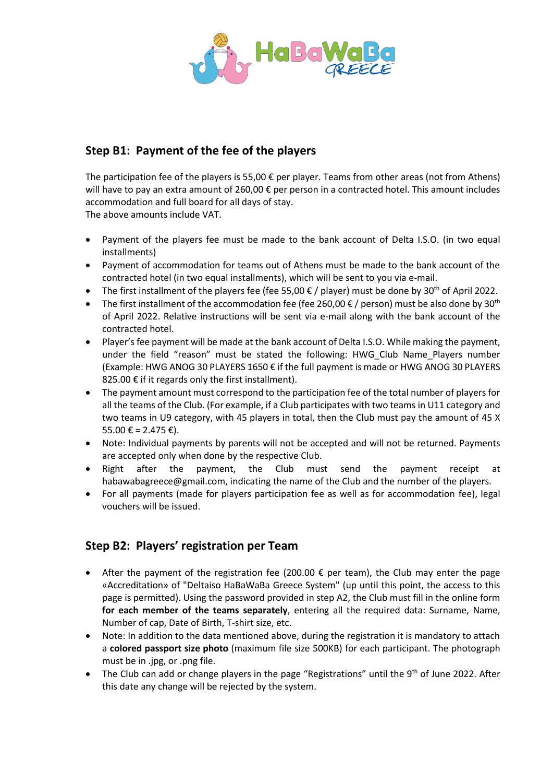

## **Step B1: Payment of the fee of the players**

The participation fee of the players is 55,00  $\epsilon$  per player. Teams from other areas (not from Athens) will have to pay an extra amount of 260,00 € per person in a contracted hotel. This amount includes accommodation and full board for all days of stay.

The above amounts include VAT.

- Payment of the players fee must be made to the bank account of Delta I.S.O. (in two equal installments)
- Payment of accommodation for teams out of Athens must be made to the bank account of the contracted hotel (in two equal installments), which will be sent to you via e-mail.
- The first installment of the players fee (fee 55,00  $\epsilon$  / player) must be done by 30<sup>th</sup> of April 2022.
- The first installment of the accommodation fee (fee 260,00  $\epsilon$  / person) must be also done by 30<sup>th</sup> of April 2022. Relative instructions will be sent via e-mail along with the bank account of the contracted hotel.
- Player's fee payment will be made at the bank account of Delta I.S.O. While making the payment, under the field "reason" must be stated the following: HWG\_Club Name\_Players number (Example: HWG ANOG 30 PLAYERS 1650 € if the full payment is made or HWG ANOG 30 PLAYERS 825.00  $\epsilon$  if it regards only the first installment).
- The payment amount must correspond to the participation fee of the total number of players for all the teams of the Club. (For example, if a Club participates with two teams in U11 category and two teams in U9 category, with 45 players in total, then the Club must pay the amount of 45 X 55.00 € = 2.475 €).
- Note: Individual payments by parents will not be accepted and will not be returned. Payments are accepted only when done by the respective Club.
- Right after the payment, the Club must send the payment receipt at habawabagreece@gmail.com, indicating the name of the Club and the number of the players.
- For all payments (made for players participation fee as well as for accommodation fee), legal vouchers will be issued.

# **Step B2: Players' registration per Team**

- After the payment of the registration fee (200.00  $\epsilon$  per team), the Club may enter the page «Accreditation» of "Deltaiso HaBaWaBa Greece System" (up until this point, the access to this page is permitted). Using the password provided in step Α2, the Club must fill in the online form **for each member of the teams separately**, entering all the required data: Surname, Name, Number of cap, Date of Birth, T-shirt size, etc.
- Note: In addition to the data mentioned above, during the registration it is mandatory to attach a **colored passport size photo** (maximum file size 500ΚΒ) for each participant. The photograph must be in .jpg, or .png file.
- The Club can add or change players in the page "Registrations" until the 9<sup>th</sup> of June 2022. After this date any change will be rejected by the system.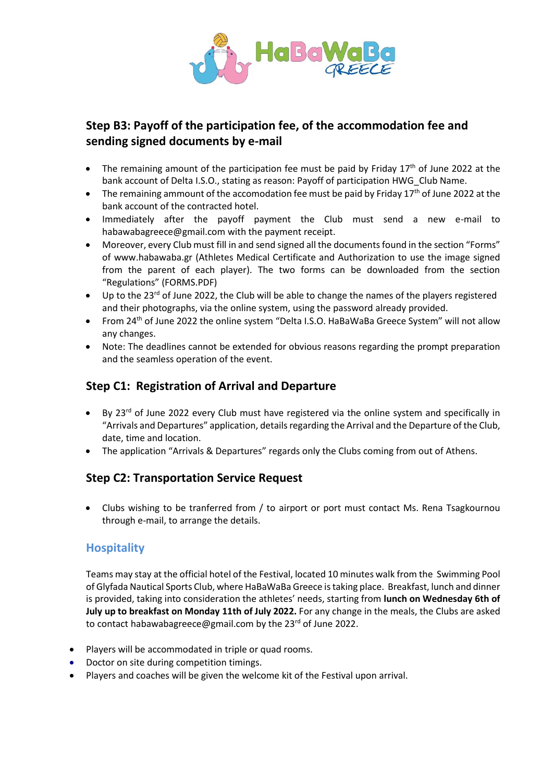

## **Step B3: Payoff of the participation fee, of the accommodation fee and sending signed documents by e-mail**

- The remaining amount of the participation fee must be paid by Friday  $17<sup>th</sup>$  of June 2022 at the bank account of Delta I.S.O., stating as reason: Payoff of participation HWG\_Club Name.
- $\bullet$  The remaining ammount of the accomodation fee must be paid by Friday 17<sup>th</sup> of June 2022 at the bank account of the contracted hotel.
- Immediately after the payoff payment the Club must send a new e-mail to [habawabagreece@gmail.com](mailto:habawabagreece@gmail.com) with the payment receipt.
- Moreover, every Club must fill in and send signed all the documents found in the section "Forms" of [www.habawaba.gr](http://www.habawaba.gr/) (Athletes Medical Certificate and Authorization to use the image signed from the parent of each player). The two forms can be downloaded from the section "Regulations" (FORMS.PDF)
- Up to the 23<sup>rd</sup> of June 2022, the Club will be able to change the names of the players registered and their photographs, via the online system, using the password already provided.
- From 24<sup>th</sup> of June 2022 the online system "Delta I.S.O. HaBaWaBa Greece System" will not allow any changes.
- Note: The deadlines cannot be extended for obvious reasons regarding the prompt preparation and the seamless operation of the event.

#### **Step C1: Registration of Arrival and Departure**

- By 23<sup>rd</sup> of June 2022 every Club must have registered via the online system and specifically in "Αrrivals and Departures" application, details regarding the Arrival and the Departure of the Club, date, time and location.
- The application "Arrivals & Departures" regards only the Clubs coming from out of Athens.

#### **Step C2: Transportation Service Request**

 Clubs wishing to be tranferred from / to airport or port must contact Ms. Rena Tsagkournou through e-mail, to arrange the details.

#### **Hospitality**

Teams may stay at the official hotel of the Festival, located 10 minutes walk from the Swimming Pool of Glyfada Nautical Sports Club, where HaBaWaBa Greece is taking place. Breakfast, lunch and dinner is provided, taking into consideration the athletes' needs, starting from **lunch on Wednesday 6th of July up to breakfast on Monday 11th of July 2022.** For any change in the meals, the Clubs are asked to contact habawabagreece@gmail.com by the 23<sup>rd</sup> of June 2022.

- Players will be accommodated in triple or quad rooms.
- Doctor on site during competition timings.
- Players and coaches will be given the welcome kit of the Festival upon arrival.